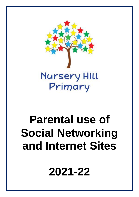

# **Parental use of Social Networking and Internet Sites**

**2021-22**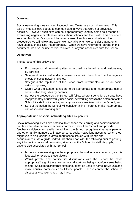### **Overview**

Social networking sites such as Facebook and Twitter are now widely used. This type of media allows people to communicate in ways that were not previously possible. However, such sites can be inappropriately used by some as a means of expressing negative or offensive views about schools and their staff. This document sets out this School's approach to parental use of such sites and sets out the procedures we will follow and action we may take when we consider that parents have used such facilities inappropriately. When we have referred to "parent" in this document, we also include carers; relatives; or anyone associated with the School.

## **Objectives**

The purpose of this policy is to:

- Encourage social networking sites to be used in a beneficial and positive way by parents;
- Safeguard pupils, staff and anyone associated with the school from the negative effects of social networking sites;
- Safeguard the reputation of the School from unwarranted abuse on social networking sites;
- Clarify what the School considers to be appropriate and inappropriate use of social networking sites by parents;
- Set out the procedures the School will follow where it considers parents have inappropriately or unlawfully used social networking sites to the detriment of the School, its staff or its pupils, and anyone else associated with the School; and
- Set out the action the School will consider taking if parents make inappropriate use of social networking sites.

#### **Appropriate use of social networking sites by parents**

Social networking sites have potential to enhance the learning and achievement of pupils and enable parents to access information about the School and provide feedback efficiently and easily. In addition, the School recognises that many parents and other family members will have personal social networking accounts, which they might use to discuss/share views about school issues with friends and acquaintances. As a guide, individuals should consider the following prior to posting any information on social networking sites about the School, its staff, its pupils, or anyone else associated with the School:

- Is the social networking site the appropriate channel to raise concerns, give this feedback or express these views?
- Would private and confidential discussions with the School be more appropriate? e.g. if there are serious allegations being made/concerns being raised. Social media/internet sites should not be used to name individuals and make abusive comments about those people. Please contact the school to discuss any concerns you may have.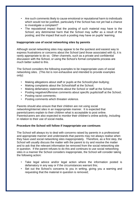- Are such comments likely to cause emotional or reputational harm to individuals which would not be justified, particularly if the School has not yet had a chance to investigate a complaint?
- The reputational impact that the posting of such material may have to the School; any detrimental harm that the School may suffer as a result of the posting; and the impact that such a posting may have on pupils' learning.

#### **Inappropriate use of social networking sites by parents**

Although social networking sites may appear to be the quickest and easiest way to express frustrations or concerns about the School (and those associated with it), it is rarely appropriate to do so. Other channels, such as a private and confidential discussion with the School, or using the School's formal complaints process are much better suited to this.

The School considers the following examples to be inappropriate uses of social networking sites. (This list is non-exhaustive and intended to provide examples only):

- Making allegations about staff or pupils at the School/cyber-bullying;
- Making complaints about the School/staff at the School;
- Making defamatory statements about the School or staff at the School;
- Posting negative/offensive comments about specific pupils/staff at the School;
- Posting racist comments;
- Posting comments which threaten violence.

Parents should also ensure that their children are not using social networking/internet sites in an inappropriate manner. It is expected that parents/carers explain to their children what is acceptable to post online. Parents/carers are also expected to monitor their children's online activity, including in relation to their use of social media.

#### **Procedure the School will follow if inappropriate use continues**

The School will always try to deal with concerns raised by parents in a professional and appropriate manner and understands that parents may not always realise when they have used social networking sites inappropriately. Therefore, as a first step, the School will usually discuss the matter with the parent to try and resolve the matter and to ask that the relevant information be removed from the social networking site in question. If the parent refuses to do this and continues to use social networking sites in a manner the School considers inappropriate, the School will consider taking the following action:

- Take legal advice and/or legal action where the information posted is defamatory in any way or if the circumstances warrant this;
- Set out the School's concerns to you in writing, giving you a warning and requesting that the material in question is removed;